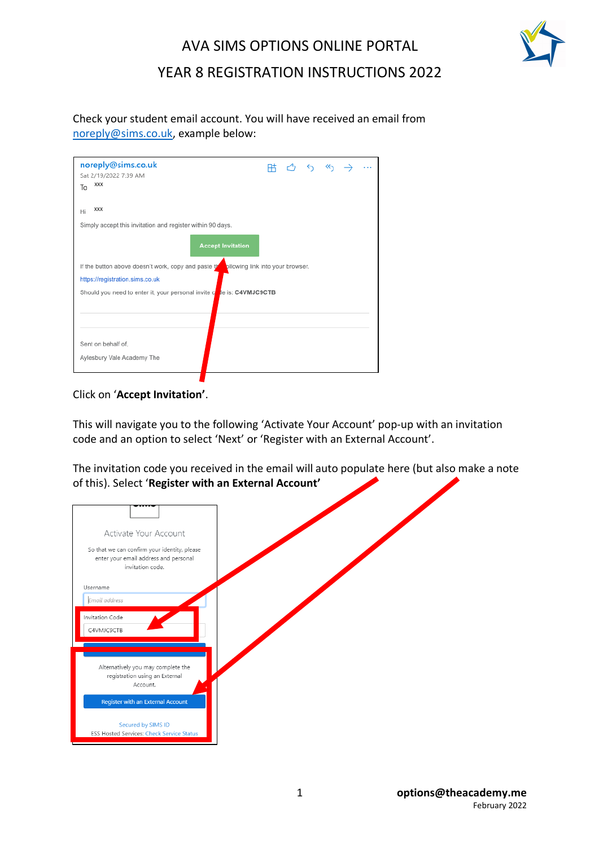

# AVA SIMS OPTIONS ONLINE PORTAL YEAR 8 REGISTRATION INSTRUCTIONS 2022

Check your student email account. You will have received an email from noreply@sims.co.uk, example below:

| noreply@sims.co.uk<br>Sat 2/19/2022 7:39 AM<br><b>XXX</b><br>To                       |  | <b>用 凸 ち め</b> |  |  |  | $\rightarrow$ $\cdots$ |
|---------------------------------------------------------------------------------------|--|----------------|--|--|--|------------------------|
| <b>XXX</b><br>Hi                                                                      |  |                |  |  |  |                        |
| Simply accept this invitation and register within 90 days.                            |  |                |  |  |  |                        |
| <b>Accept Invitation</b>                                                              |  |                |  |  |  |                        |
| If the button above doesn't work, copy and paste the pllowing link into your browser. |  |                |  |  |  |                        |
| https://registration.sims.co.uk                                                       |  |                |  |  |  |                        |
| Should you need to enter it, your personal invite cone is: C4VMJC9CTB                 |  |                |  |  |  |                        |
| Sent on behalf of,                                                                    |  |                |  |  |  |                        |
| Aylesbury Vale Academy The                                                            |  |                |  |  |  |                        |

Click on '**Accept Invitation'**.

This will navigate you to the following 'Activate Your Account' pop-up with an invitation code and an option to select 'Next' or 'Register with an External Account'.

The invitation code you received in the email will auto populate here (but also make a note of this). Select '**Register with an External Account'**

| Activate Your Account<br>So that we can confirm your identity, please<br>enter your email address and personal<br>invitation code. |  |
|------------------------------------------------------------------------------------------------------------------------------------|--|
| Username                                                                                                                           |  |
| Email address                                                                                                                      |  |
| Invitation Code                                                                                                                    |  |
| C4VMJC9CTB                                                                                                                         |  |
|                                                                                                                                    |  |
| Alternatively you may complete the<br>registration using an External<br>Account.                                                   |  |
| <b>Register with an External Account</b>                                                                                           |  |
| Secured by SIMS ID<br>ESS Hosted Services: Check Service Status                                                                    |  |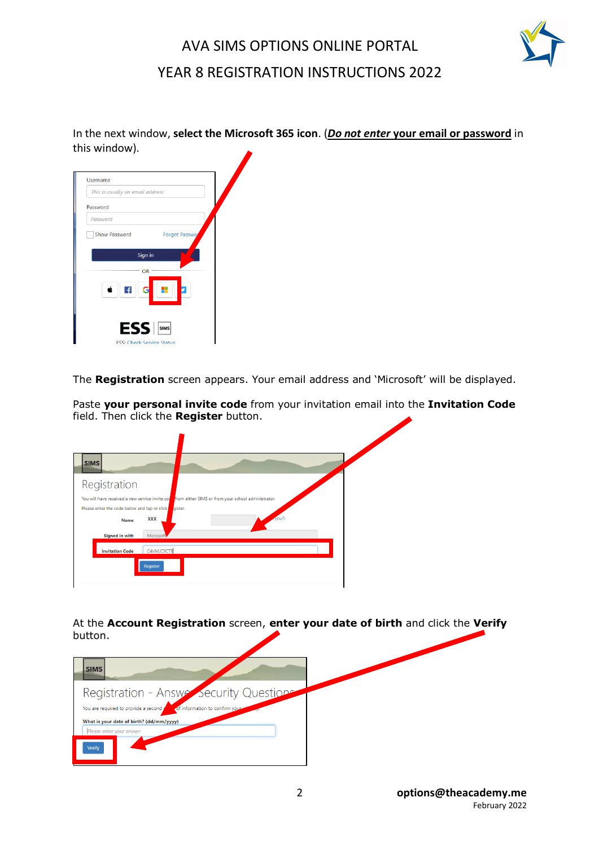

### AVA SIMS OPTIONS ONLINE PORTAL YEAR 8 REGISTRATION INSTRUCTIONS 2022

In the next window, **select the Microsoft 365 icon**. (*Do not enter* **your email or password** in this window).

| This is usually an email address |                                  |
|----------------------------------|----------------------------------|
| Password                         |                                  |
| Password                         |                                  |
| <b>Show Password</b>             | Forgot Passwo                    |
| Sign in<br>$\overline{f}$<br>с   | OR :                             |
| ESS   SIMS                       | <b>ESS: Check Service Status</b> |

The **Registration** screen appears. Your email address and 'Microsoft' will be displayed.

Paste **your personal invite code** from your invitation email into the **Invitation Code**  field. Then click the **Register** button.

| <b>SIMS</b>                                                                                                    |                |                                                     |      |  |
|----------------------------------------------------------------------------------------------------------------|----------------|-----------------------------------------------------|------|--|
| Registration                                                                                                   |                |                                                     |      |  |
| You will have received a new service invite cod<br>Please enter the code below and tap or click<br><b>Name</b> | gister.<br>XXX | from either SIMS or from your school administrator. | you? |  |
| <b>Signed in with</b>                                                                                          | Microsoft      |                                                     |      |  |
| <b>Invitation Code</b>                                                                                         | C4VMJC9CTB     |                                                     |      |  |
|                                                                                                                | Register       |                                                     |      |  |
|                                                                                                                |                |                                                     |      |  |

At the **Account Registration** screen, **enter your date of birth** and click the **Verify**  button.

| <b>SIMS</b>                                                                                                          |  |
|----------------------------------------------------------------------------------------------------------------------|--|
| Registration - Answer Security Questions<br>You are required to provide a second p<br>of information to confirm your |  |
| What is your date of birth? (dd/mm/yyyy)<br>Please enter your answer                                                 |  |
| Verify                                                                                                               |  |